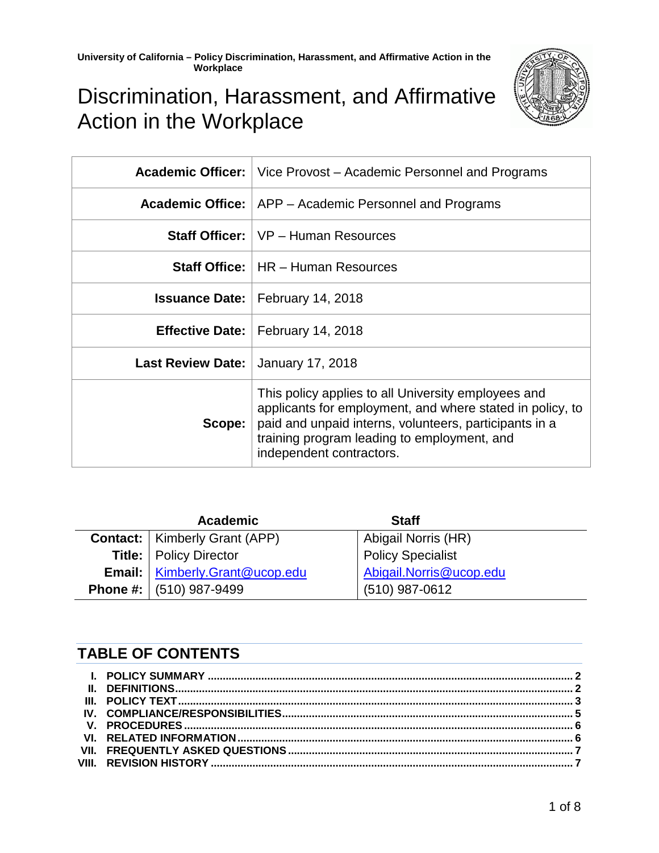

# Discrimination, Harassment, and Affirmative Action in the Workplace

|                          | <b>Academic Officer:</b>   Vice Provost – Academic Personnel and Programs                                                                                                                                                                             |
|--------------------------|-------------------------------------------------------------------------------------------------------------------------------------------------------------------------------------------------------------------------------------------------------|
|                          | <b>Academic Office:</b>   APP – Academic Personnel and Programs                                                                                                                                                                                       |
|                          | <b>Staff Officer:</b> VP - Human Resources                                                                                                                                                                                                            |
|                          | <b>Staff Office:</b>   HR – Human Resources                                                                                                                                                                                                           |
|                          | <b>Issuance Date:</b>   February 14, 2018                                                                                                                                                                                                             |
|                          | <b>Effective Date:</b>   February 14, 2018                                                                                                                                                                                                            |
| <b>Last Review Date:</b> | January 17, 2018                                                                                                                                                                                                                                      |
| Scope:                   | This policy applies to all University employees and<br>applicants for employment, and where stated in policy, to<br>paid and unpaid interns, volunteers, participants in a<br>training program leading to employment, and<br>independent contractors. |

| <b>Academic</b>                         | <b>Staff</b>             |
|-----------------------------------------|--------------------------|
| <b>Contact:</b>   Kimberly Grant (APP)  | Abigail Norris (HR)      |
| <b>Title:</b>   Policy Director         | <b>Policy Specialist</b> |
| <b>Email:</b>   Kimberly.Grant@ucop.edu | Abigail.Norris@ucop.edu  |
| <b>Phone #:</b> $(510)$ 987-9499        | $(510)$ 987-0612         |

# **TABLE OF CONTENTS**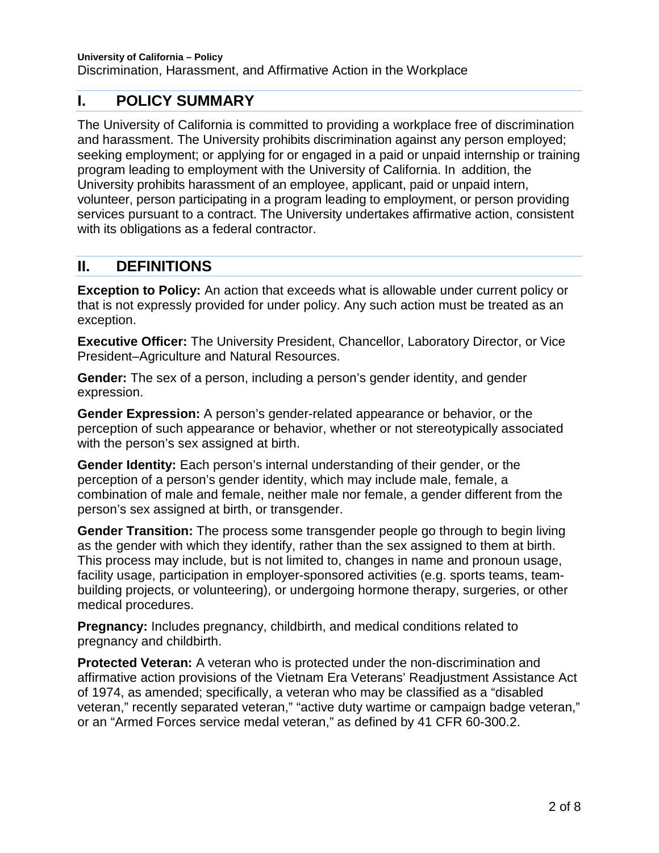# <span id="page-1-0"></span>**I. POLICY SUMMARY**

The University of California is committed to providing a workplace free of discrimination and harassment. The University prohibits discrimination against any person employed; seeking employment; or applying for or engaged in a paid or unpaid internship or training program leading to employment with the University of California. In addition, the University prohibits harassment of an employee, applicant, paid or unpaid intern, volunteer, person participating in a program leading to employment, or person providing services pursuant to a contract. The University undertakes affirmative action, consistent with its obligations as a federal contractor.

# <span id="page-1-1"></span>**II. DEFINITIONS**

**Exception to Policy:** An action that exceeds what is allowable under current policy or that is not expressly provided for under policy. Any such action must be treated as an exception.

**Executive Officer:** The University President, Chancellor, Laboratory Director, or Vice President–Agriculture and Natural Resources.

**Gender:** The sex of a person, including a person's gender identity, and gender expression.

**Gender Expression:** A person's gender-related appearance or behavior, or the perception of such appearance or behavior, whether or not stereotypically associated with the person's sex assigned at birth.

**Gender Identity:** Each person's internal understanding of their gender, or the perception of a person's gender identity, which may include male, female, a combination of male and female, neither male nor female, a gender different from the person's sex assigned at birth, or transgender.

**Gender Transition:** The process some transgender people go through to begin living as the gender with which they identify, rather than the sex assigned to them at birth. This process may include, but is not limited to, changes in name and pronoun usage, facility usage, participation in employer-sponsored activities (e.g. sports teams, teambuilding projects, or volunteering), or undergoing hormone therapy, surgeries, or other medical procedures.

**Pregnancy:** Includes pregnancy, childbirth, and medical conditions related to pregnancy and childbirth.

**Protected Veteran:** A veteran who is protected under the non-discrimination and affirmative action provisions of the Vietnam Era Veterans' Readjustment Assistance Act of 1974, as amended; specifically, a veteran who may be classified as a "disabled veteran," recently separated veteran," "active duty wartime or campaign badge veteran," or an "Armed Forces service medal veteran," as defined by 41 CFR 60-300.2.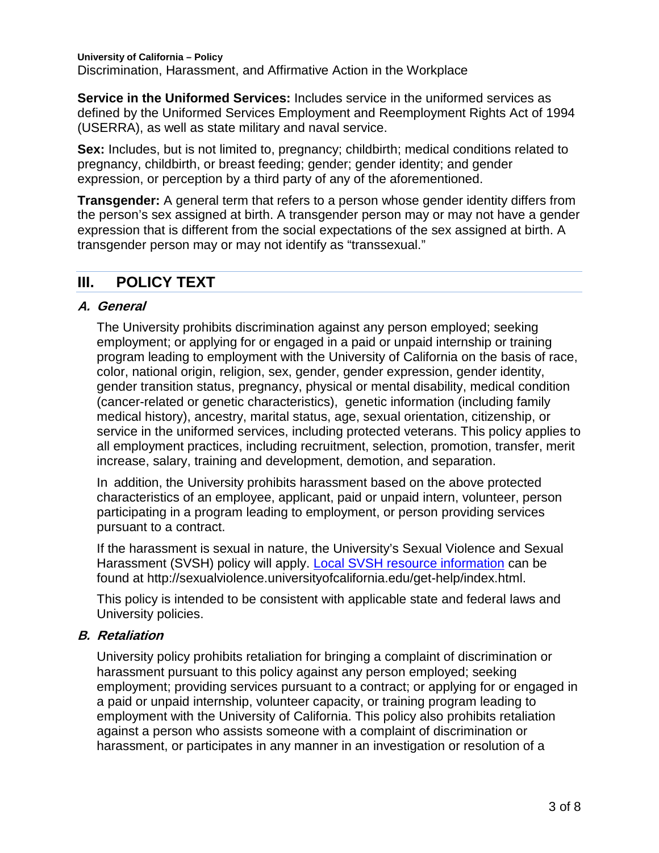**University of California – Policy**  Discrimination, Harassment, and Affirmative Action in the Workplace

**Service in the Uniformed Services:** Includes service in the uniformed services as defined by the Uniformed Services Employment and Reemployment Rights Act of 1994 (USERRA), as well as state military and naval service.

**Sex:** Includes, but is not limited to, pregnancy; childbirth; medical conditions related to pregnancy, childbirth, or breast feeding; gender; gender identity; and gender expression, or perception by a third party of any of the aforementioned.

**Transgender:** A general term that refers to a person whose gender identity differs from the person's sex assigned at birth. A transgender person may or may not have a gender expression that is different from the social expectations of the sex assigned at birth. A transgender person may or may not identify as "transsexual."

# <span id="page-2-0"></span>**III. POLICY TEXT**

#### **A. General**

The University prohibits discrimination against any person employed; seeking employment; or applying for or engaged in a paid or unpaid internship or training program leading to employment with the University of California on the basis of race, color, national origin, religion, sex, gender, gender expression, gender identity, gender transition status, pregnancy, physical or mental disability, medical condition (cancer-related or genetic characteristics), genetic information (including family medical history), ancestry, marital status, age, sexual orientation, citizenship, or service in the uniformed services, including protected veterans. This policy applies to all employment practices, including recruitment, selection, promotion, transfer, merit increase, salary, training and development, demotion, and separation.

In addition, the University prohibits harassment based on the above protected characteristics of an employee, applicant, paid or unpaid intern, volunteer, person participating in a program leading to employment, or person providing services pursuant to a contract.

If the harassment is sexual in nature, the University's Sexual Violence and Sexual Harassment (SVSH) policy will apply. [Local SVSH resource information](http://sexualviolence.universityofcalifornia.edu/get-help/index.html) can be found at http://sexualviolence.universityofcalifornia.edu/get-help/index.html.

This policy is intended to be consistent with applicable state and federal laws and University policies.

## **B. Retaliation**

University policy prohibits retaliation for bringing a complaint of discrimination or harassment pursuant to this policy against any person employed; seeking employment; providing services pursuant to a contract; or applying for or engaged in a paid or unpaid internship, volunteer capacity, or training program leading to employment with the University of California. This policy also prohibits retaliation against a person who assists someone with a complaint of discrimination or harassment, or participates in any manner in an investigation or resolution of a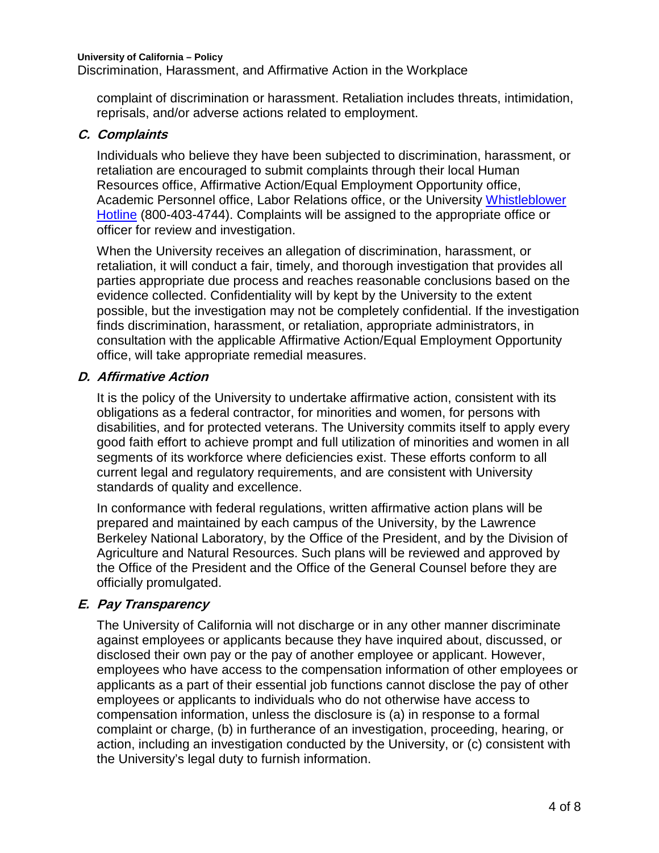Discrimination, Harassment, and Affirmative Action in the Workplace

complaint of discrimination or harassment. Retaliation includes threats, intimidation, reprisals, and/or adverse actions related to employment.

## **C. Complaints**

Individuals who believe they have been subjected to discrimination, harassment, or retaliation are encouraged to submit complaints through their local Human Resources office, Affirmative Action/Equal Employment Opportunity office, Academic Personnel office, Labor Relations office, or the University [Whistleblower](http://universityofcalifornia.edu/hotline)  [Hotline](http://universityofcalifornia.edu/hotline) (800-403-4744). Complaints will be assigned to the appropriate office or officer for review and investigation.

When the University receives an allegation of discrimination, harassment, or retaliation, it will conduct a fair, timely, and thorough investigation that provides all parties appropriate due process and reaches reasonable conclusions based on the evidence collected. Confidentiality will by kept by the University to the extent possible, but the investigation may not be completely confidential. If the investigation finds discrimination, harassment, or retaliation, appropriate administrators, in consultation with the applicable Affirmative Action/Equal Employment Opportunity office, will take appropriate remedial measures.

## **D. Affirmative Action**

It is the policy of the University to undertake affirmative action, consistent with its obligations as a federal contractor, for minorities and women, for persons with disabilities, and for protected veterans. The University commits itself to apply every good faith effort to achieve prompt and full utilization of minorities and women in all segments of its workforce where deficiencies exist. These efforts conform to all current legal and regulatory requirements, and are consistent with University standards of quality and excellence.

In conformance with federal regulations, written affirmative action plans will be prepared and maintained by each campus of the University, by the Lawrence Berkeley National Laboratory, by the Office of the President, and by the Division of Agriculture and Natural Resources. Such plans will be reviewed and approved by the Office of the President and the Office of the General Counsel before they are officially promulgated.

# **E. Pay Transparency**

The University of California will not discharge or in any other manner discriminate against employees or applicants because they have inquired about, discussed, or disclosed their own pay or the pay of another employee or applicant. However, employees who have access to the compensation information of other employees or applicants as a part of their essential job functions cannot disclose the pay of other employees or applicants to individuals who do not otherwise have access to compensation information, unless the disclosure is (a) in response to a formal complaint or charge, (b) in furtherance of an investigation, proceeding, hearing, or action, including an investigation conducted by the University, or (c) consistent with the University's legal duty to furnish information.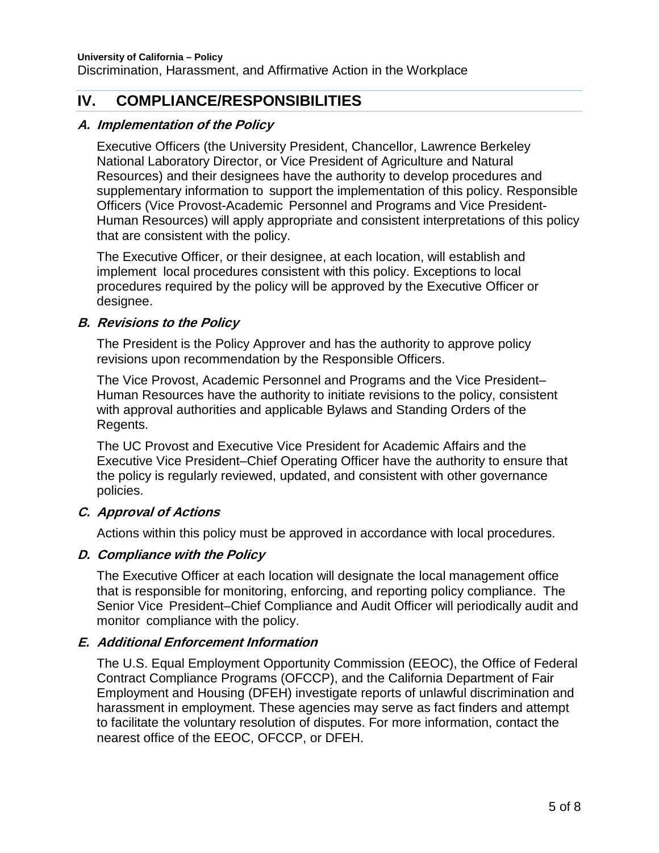# <span id="page-4-0"></span>**IV. COMPLIANCE/RESPONSIBILITIES**

## **A. Implementation of the Policy**

Executive Officers (the University President, Chancellor, Lawrence Berkeley National Laboratory Director, or Vice President of Agriculture and Natural Resources) and their designees have the authority to develop procedures and supplementary information to support the implementation of this policy. Responsible Officers (Vice Provost-Academic Personnel and Programs and Vice President-Human Resources) will apply appropriate and consistent interpretations of this policy that are consistent with the policy.

The Executive Officer, or their designee, at each location, will establish and implement local procedures consistent with this policy. Exceptions to local procedures required by the policy will be approved by the Executive Officer or designee.

## **B. Revisions to the Policy**

The President is the Policy Approver and has the authority to approve policy revisions upon recommendation by the Responsible Officers.

The Vice Provost, Academic Personnel and Programs and the Vice President– Human Resources have the authority to initiate revisions to the policy, consistent with approval authorities and applicable Bylaws and Standing Orders of the Regents.

The UC Provost and Executive Vice President for Academic Affairs and the Executive Vice President–Chief Operating Officer have the authority to ensure that the policy is regularly reviewed, updated, and consistent with other governance policies.

# **C. Approval of Actions**

Actions within this policy must be approved in accordance with local procedures.

# **D. Compliance with the Policy**

The Executive Officer at each location will designate the local management office that is responsible for monitoring, enforcing, and reporting policy compliance. The Senior Vice President–Chief Compliance and Audit Officer will periodically audit and monitor compliance with the policy.

# **E. Additional Enforcement Information**

The U.S. Equal Employment Opportunity Commission (EEOC), the Office of Federal Contract Compliance Programs (OFCCP), and the California Department of Fair Employment and Housing (DFEH) investigate reports of unlawful discrimination and harassment in employment. These agencies may serve as fact finders and attempt to facilitate the voluntary resolution of disputes. For more information, contact the nearest office of the EEOC, OFCCP, or DFEH.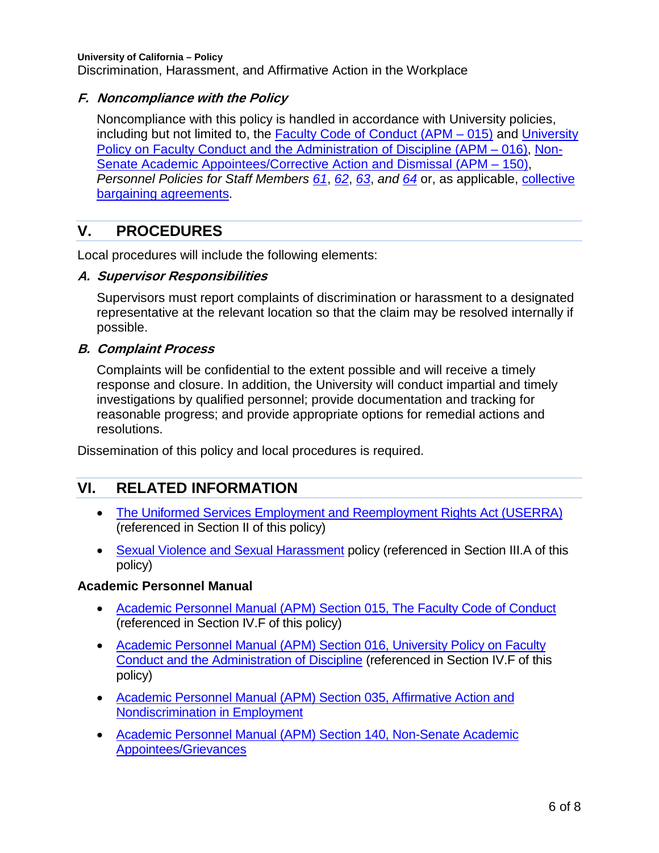**University of California – Policy**  Discrimination, Harassment, and Affirmative Action in the Workplace

## **F. Noncompliance with the Policy**

Noncompliance with this policy is handled in accordance with University policies, including but not limited to, the [Faculty Code of Conduct \(APM –](http://www.ucop.edu/academic-personnel-programs/_files/apm/apm-015.pdf) 015) and [University](http://www.ucop.edu/academic-personnel-programs/_files/apm/apm-016.pdf)  [Policy on Faculty Conduct and the Administration of Discipline \(APM –](http://www.ucop.edu/academic-personnel-programs/_files/apm/apm-016.pdf) 016), [Non-](http://www.ucop.edu/academic-personnel-programs/_files/apm/apm-150.pdf)[Senate Academic Appointees/Corrective Action and Dismissal \(APM –](http://www.ucop.edu/academic-personnel-programs/_files/apm/apm-150.pdf) 150), *Personnel Policies for Staff Members [61](http://policy.ucop.edu/doc/4010410/)*, *[62](http://policy.ucop.edu/doc/4010411)*, *[63](http://policy.ucop.edu/doc/4010412)*, *and [64](http://policy.ucop.edu/doc/4010413)* or, as applicable, [collective](http://ucnet.universityofcalifornia.edu/labor/bargaining-units/index.html)  [bargaining agreements.](http://ucnet.universityofcalifornia.edu/labor/bargaining-units/index.html)

# <span id="page-5-0"></span>**V. PROCEDURES**

Local procedures will include the following elements:

#### **A. Supervisor Responsibilities**

Supervisors must report complaints of discrimination or harassment to a designated representative at the relevant location so that the claim may be resolved internally if possible.

#### **B. Complaint Process**

Complaints will be confidential to the extent possible and will receive a timely response and closure. In addition, the University will conduct impartial and timely investigations by qualified personnel; provide documentation and tracking for reasonable progress; and provide appropriate options for remedial actions and resolutions.

Dissemination of this policy and local procedures is required.

# <span id="page-5-1"></span>**VI. RELATED INFORMATION**

- [The Uniformed Services Employment and Reemployment Rights Act \(USERRA\)](http://www.dol.gov/vets/programs/userra/) (referenced in Section II of this policy)
- [Sexual Violence and Sexual Harassment](http://policy.ucop.edu/doc/4000385) policy (referenced in Section III.A of this policy)

## **Academic Personnel Manual**

- [Academic Personnel Manual \(APM\) Section 015, The Faculty Code of Conduct](http://www.ucop.edu/academic-personnel-programs/_files/apm/apm-015.pdf) (referenced in Section IV.F of this policy)
- Academic Personnel Manual (APM) Section 016, University Policy on Faculty [Conduct and the Administration of Discipline](http://www.ucop.edu/academic-personnel-programs/_files/apm/apm-016.pdf) (referenced in Section IV.F of this policy)
- [Academic Personnel Manual \(APM\) Section 035, Affirmative Action and](http://www.ucop.edu/academic-personnel-programs/_files/apm/apm-035.pdf)  [Nondiscrimination in Employment](http://www.ucop.edu/academic-personnel-programs/_files/apm/apm-035.pdf)
- [Academic Personnel Manual \(APM\) Section 140, Non-Senate Academic](http://www.ucop.edu/academic-personnel-programs/_files/apm/apm-140.pdf)  [Appointees/Grievances](http://www.ucop.edu/academic-personnel-programs/_files/apm/apm-140.pdf)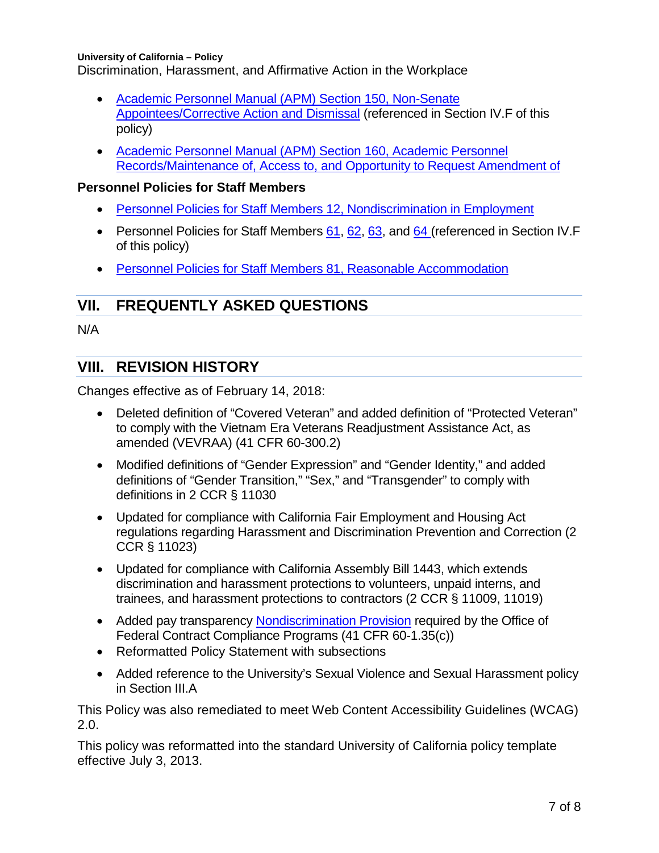**University of California – Policy**  Discrimination, Harassment, and Affirmative Action in the Workplace

- [Academic Personnel Manual \(APM\) Section 150, Non-Senate](http://www.ucop.edu/academic-personnel-programs/_files/apm/apm-150.pdf)  [Appointees/Corrective Action and Dismissal](http://www.ucop.edu/academic-personnel-programs/_files/apm/apm-150.pdf) (referenced in Section IV.F of this policy)
- [Academic Personnel Manual \(APM\) Section 160, Academic Personnel](http://www.ucop.edu/academic-personnel-programs/_files/apm/apm-160.pdf)  Records/Maintenance of, Access to, [and Opportunity to Request Amendment of](http://www.ucop.edu/academic-personnel-programs/_files/apm/apm-160.pdf)

## **Personnel Policies for Staff Members**

- [Personnel Policies for Staff Members 12, Nondiscrimination in Employment](http://policy.ucop.edu/doc/4010391/PPSM-12)
- Personnel Policies for Staff Members [61,](http://policy.ucop.edu/doc/4010410/) [62,](http://policy.ucop.edu/doc/4010411) [63,](http://policy.ucop.edu/doc/4010412) and [64](http://policy.ucop.edu/doc/4010413) (referenced in Section IV.F of this policy)
- [Personnel Policies for Staff Members 81, Reasonable Accommodation](http://policy.ucop.edu/doc/4010420)

# <span id="page-6-0"></span>**VII. FREQUENTLY ASKED QUESTIONS**

N/A

# <span id="page-6-1"></span>**VIII. REVISION HISTORY**

Changes effective as of February 14, 2018:

- Deleted definition of "Covered Veteran" and added definition of "Protected Veteran" to comply with the Vietnam Era Veterans Readjustment Assistance Act, as amended (VEVRAA) (41 CFR 60-300.2)
- Modified definitions of "Gender Expression" and "Gender Identity," and added definitions of "Gender Transition," "Sex," and "Transgender" to comply with definitions in 2 CCR § 11030
- Updated for compliance with California Fair Employment and Housing Act regulations regarding Harassment and Discrimination Prevention and Correction (2 CCR § 11023)
- Updated for compliance with California Assembly Bill 1443, which extends discrimination and harassment protections to volunteers, unpaid interns, and trainees, and harassment protections to contractors (2 CCR § 11009, 11019)
- Added pay transparency [Nondiscrimination Provision](https://www.dol.gov/ofccp/pdf/pay-transp_formattedESQA508c.pdf) required by the Office of Federal Contract Compliance Programs (41 CFR 60-1.35(c))
- Reformatted Policy Statement with subsections
- Added reference to the University's Sexual Violence and Sexual Harassment policy in Section III.A

This Policy was also remediated to meet Web Content Accessibility Guidelines (WCAG) 2.0.

This policy was reformatted into the standard University of California policy template effective July 3, 2013.